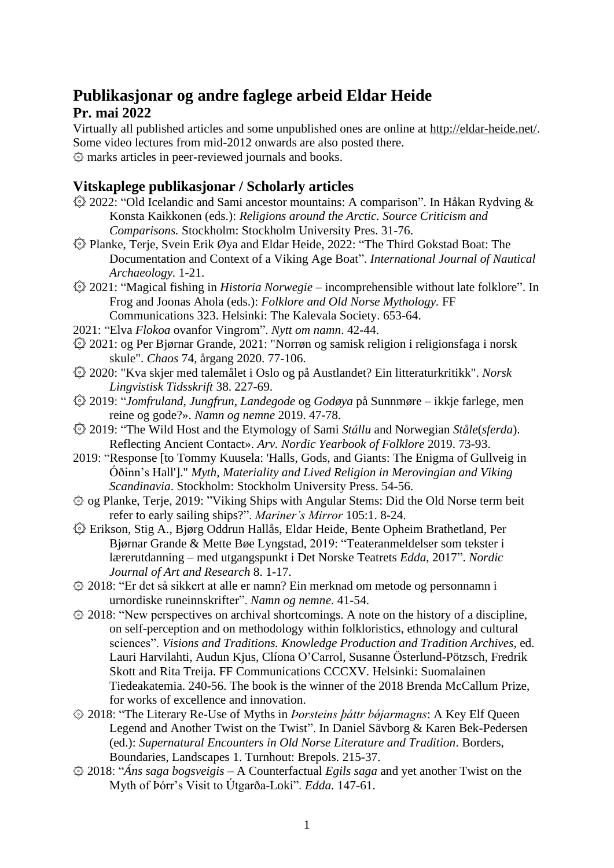# **Publikasjonar og andre faglege arbeid Eldar Heide**

## **Pr. mai 2022**

Virtually all published articles and some unpublished ones are online at [http://eldar-heide.net/.](http://eldar-heide.net/) Some video lectures from mid-2012 onwards are also posted there. ۞ marks articles in peer-reviewed journals and books.

### **Vitskaplege publikasjonar / Scholarly articles**

- **۞** 2022: "Old Icelandic and Sami ancestor mountains: A comparison". In Håkan Rydving & Konsta Kaikkonen (eds.): *Religions around the Arctic. Source Criticism and Comparisons.* Stockholm: Stockholm University Pres. 31-76.
- **۞** Planke, Terje, Svein Erik Øya and Eldar Heide, 2022: "The Third Gokstad Boat: The Documentation and Context of a Viking Age Boat". *International Journal of Nautical Archaeology.* 1-21.
- **۞** 2021: "Magical fishing in *Historia Norwegie* incomprehensible without late folklore". In Frog and Joonas Ahola (eds.): *Folklore and Old Norse Mythology.* FF Communications 323. Helsinki: The Kalevala Society. 653-64.
- 2021: "Elva *Flokoa* ovanfor Vingrom". *Nytt om namn*. 42-44.
- **۞** 2021: og Per Bjørnar Grande, 2021: "Norrøn og samisk religion i religionsfaga i norsk skule". *Chaos* 74, årgang 2020. 77-106.
- **۞** 2020: "Kva skjer med talemålet i Oslo og på Austlandet? Ein litteraturkritikk". *Norsk Lingvistisk Tidsskrift* 38. 227-69.
- **۞** 2019: "*Jomfruland*, *Jungfrun*, *Landegode* og *Godøya* på Sunnmøre *–* ikkje farlege, men reine og gode?». *Namn og nemne* 2019. 47-78.
- **۞** 2019: "The Wild Host and the Etymology of Sami *Stállu* and Norwegian *Ståle*(*sferda*). Reflecting Ancient Contact». *Arv. Nordic Yearbook of Folklore* 2019. 73-93.
- 2019: "Response [to Tommy Kuusela: 'Halls, Gods, and Giants: The Enigma of Gullveig in Óðinn's Hall']." *Myth, Materiality and Lived Religion in Merovingian and Viking Scandinavia*. Stockholm: Stockholm University Press. 54-56.
- **۞** og Planke, Terje, 2019: "Viking Ships with Angular Stems: Did the Old Norse term beit refer to early sailing ships?". *Mariner's Mirror* 105:1. 8-24.
- **۞** Erikson, Stig A., Bjørg Oddrun Hallås, Eldar Heide, Bente Opheim Brathetland, Per Bjørnar Grande & Mette Bøe Lyngstad, 2019: "Teateranmeldelser som tekster i lærerutdanning – med utgangspunkt i Det Norske Teatrets *Edda*, 2017". *Nordic Journal of Art and Research* 8. 1-17.
- **۞** 2018: "Er det så sikkert at alle er namn? Ein merknad om metode og personnamn i urnordiske runeinnskrifter". *Namn og nemne*. 41-54.
- **۞** 2018: "New perspectives on archival shortcomings. A note on the history of a discipline, on self-perception and on methodology within folkloristics, ethnology and cultural sciences". *Visions and Traditions. Knowledge Production and Tradition Archives*, ed. Lauri Harvilahti, Audun Kjus, Clíona O'Carrol, Susanne Österlund-Pötzsch, Fredrik Skott and Rita Treija. FF Communications CCCXV. Helsinki: Suomalainen Tiedeakatemia. 240-56. The book is the winner of the 2018 Brenda McCallum Prize, for works of excellence and innovation.
- **۞** 2018: "The Literary Re-Use of Myths in *Þorsteins þáttr bǿjarmagns*: A Key Elf Queen Legend and Another Twist on the Twist". In Daniel Sävborg & Karen Bek-Pedersen (ed.): *Supernatural Encounters in Old Norse Literature and Tradition*. Borders, Boundaries, Landscapes 1. Turnhout: Brepols. 215-37.
- **۞** 2018: "*Áns saga bogsveigis –* A Counterfactual *Egils saga* and yet another Twist on the Myth of Þórr's Visit to Útgarða-Loki". *Edda*. 147-61.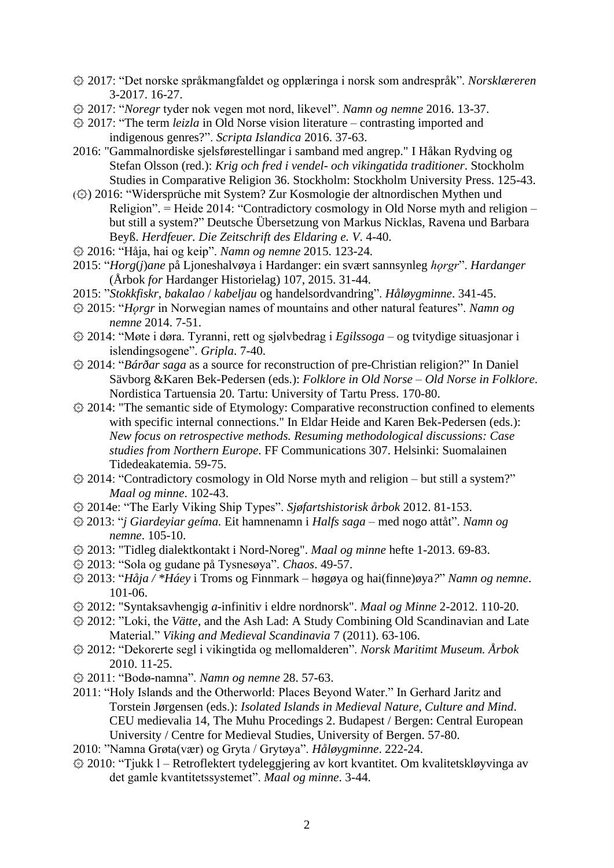- **۞** 2017: "Det norske språkmangfaldet og opplæringa i norsk som andrespråk". *Norsklæreren*  3-2017. 16-27.
- **۞** 2017: "*Noregr* tyder nok vegen mot nord, likevel". *Namn og nemne* 2016. 13-37.

**۞** 2017: "The term *leizla* in Old Norse vision literature – contrasting imported and indigenous genres?". *Scripta Islandica* 2016. 37-63.

- 2016: "Gammalnordiske sjelsførestellingar i samband med angrep." I Håkan Rydving og Stefan Olsson (red.): *Krig och fred i vendel- och vikingatida traditioner*. Stockholm Studies in Comparative Religion 36. Stockholm: Stockholm University Press. 125-43.
- )۞) 2016: "Widersprüche mit System? Zur Kosmologie der altnordischen Mythen und Religion". = Heide 2014: "Contradictory cosmology in Old Norse myth and religion – but still a system?" Deutsche Übersetzung von Markus Nicklas, Ravena und Barbara Beyß. *Herdfeuer. Die Zeitschrift des Eldaring e. V*. 4-40.
- ۞ 2016: "Håja, hai og keip". *Namn og nemne* 2015. 123-24.
- 2015: "*Horg*(*j*)*ane* på Ljoneshalvøya i Hardanger: ein svært sannsynleg *hǫrgr*". *Hardanger* (Årbok *for* Hardanger Historielag) 107, 2015. 31-44.
- 2015: "*Stokkfiskr*, *bakalao* / *kabeljau* og handelsordvandring". *Håløygminne*. 341-45.
- ۞ 2015: "*Hǫrgr* in Norwegian names of mountains and other natural features". *Namn og nemne* 2014. 7-51.
- ۞ 2014: "Møte i døra. Tyranni, rett og sjølvbedrag i *Egilssoga* og tvitydige situasjonar i islendingsogene". *Gripla*. 7-40.
- ۞ 2014: "*Bárðar saga* as a source for reconstruction of pre-Christian religion?" In Daniel Sävborg &Karen Bek-Pedersen (eds.): *Folklore in Old Norse – Old Norse in Folklore*. Nordistica Tartuensia 20. Tartu: University of Tartu Press. 170-80.
- ۞ 2014: "The semantic side of Etymology: Comparative reconstruction confined to elements with specific internal connections." In Eldar Heide and Karen Bek-Pedersen (eds.): *New focus on retrospective methods. Resuming methodological discussions: Case studies from Northern Europe*. FF Communications 307. Helsinki: Suomalainen Tidedeakatemia. 59-75.
- ۞ 2014: "Contradictory cosmology in Old Norse myth and religion but still a system?" *Maal og minne*. 102-43.
- ۞ 2014e: "The Early Viking Ship Types". *Sjøfartshistorisk årbok* 2012. 81-153.
- ۞ 2013: "*j Giardeyiar geíma.* Eit hamnenamn i *Halfs saga*  med nogo attåt". *Namn og nemne*. 105-10.
- ۞ 2013: "Tidleg dialektkontakt i Nord-Noreg". *Maal og minne* hefte 1-2013. 69-83.
- ۞ 2013: "Sola og gudane på Tysnesøya". *Chaos*. 49-57.
- ۞ 2013: "*Håja / \*Háey* i Troms og Finnmark høgøya og hai(finne)øya*?*" *Namn og nemne*. 101-06.
- ۞ 2012: "Syntaksavhengig *a*-infinitiv i eldre nordnorsk". *Maal og Minne* 2-2012. 110-20.
- ۞ 2012: "Loki, the *Vätte*, and the Ash Lad: A Study Combining Old Scandinavian and Late Material." *Viking and Medieval Scandinavia* 7 (2011). 63-106.
- ۞ 2012: "Dekorerte segl i vikingtida og mellomalderen". *Norsk Maritimt Museum. Årbok* 2010. 11-25.
- ۞ 2011: "Bodø-namna". *Namn og nemne* 28. 57-63.
- 2011: "Holy Islands and the Otherworld: Places Beyond Water." In Gerhard Jaritz and Torstein Jørgensen (eds.): *Isolated Islands in Medieval Nature, Culture and Mind*. CEU medievalia 14, The Muhu Procedings 2. Budapest / Bergen: Central European University / Centre for Medieval Studies, University of Bergen. 57-80.
- 2010: "Namna Grøta(vær) og Gryta / Grytøya". *Håløygminne*. 222-24.
- ۞ 2010: "Tjukk l Retroflektert tydeleggjering av kort kvantitet. Om kvalitetskløyvinga av det gamle kvantitetssystemet". *Maal og minne*. 3-44.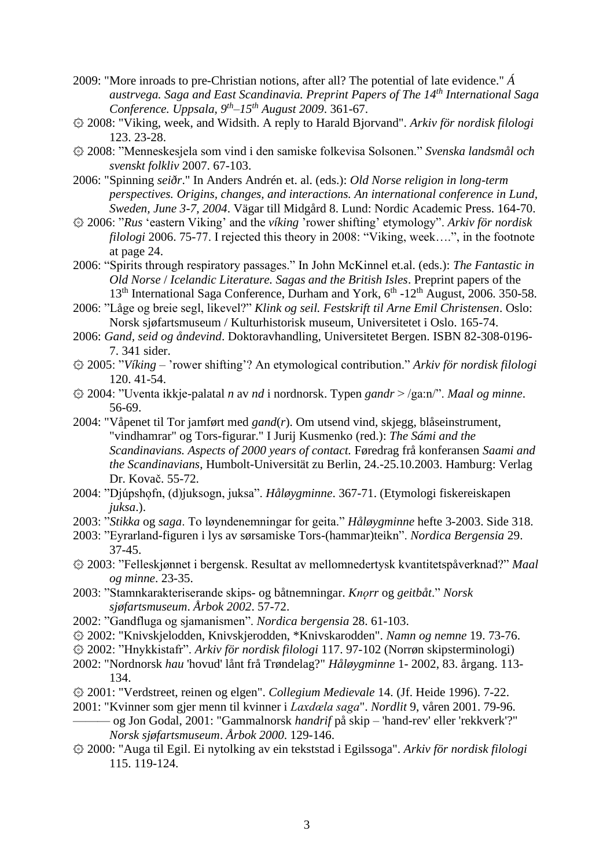- 2009: "More inroads to pre-Christian notions, after all? The potential of late evidence." *Á austrvega. Saga and East Scandinavia. Preprint Papers of The 14th International Saga Conference. Uppsala, 9th –15th August 2009*. 361-67.
- ۞ 2008: "Viking, week, and Widsith. A reply to Harald Bjorvand". *Arkiv för nordisk filologi* 123. 23-28.
- ۞ 2008: "Menneskesjela som vind i den samiske folkevisa Solsonen." *Svenska landsmål och svenskt folkliv* 2007. 67-103.
- 2006: "Spinning *seiðr*." In Anders Andrén et. al. (eds.): *Old Norse religion in long-term perspectives. Origins, changes, and interactions. An international conference in Lund, Sweden, June 3-7, 2004*. Vägar till Midgård 8. Lund: Nordic Academic Press. 164-70.
- ۞ 2006: "*Rus* 'eastern Viking' and the *víking* 'rower shifting' etymology". *Arkiv för nordisk filologi* 2006. 75-77. I rejected this theory in 2008: "Viking, week….", in the footnote at page 24.
- 2006: "Spirits through respiratory passages." In John McKinnel et.al. (eds.): *The Fantastic in Old Norse* / *Icelandic Literature. Sagas and the British Isles*. Preprint papers of the 13<sup>th</sup> International Saga Conference, Durham and York, 6<sup>th</sup> -12<sup>th</sup> August, 2006. 350-58.
- 2006: "Låge og breie segl, likevel?" *Klink og seil. Festskrift til Arne Emil Christensen*. Oslo: Norsk sjøfartsmuseum / Kulturhistorisk museum, Universitetet i Oslo. 165-74.
- 2006: *Gand, seid og åndevind*. Doktoravhandling, Universitetet Bergen. ISBN 82-308-0196- 7. 341 sider.
- ۞ 2005: "*Víking –* 'rower shifting'? An etymological contribution." *Arkiv för nordisk filologi*  120. 41-54.
- ۞ 2004: "Uventa ikkje-palatal *n* av *nd* i nordnorsk. Typen *gandr* > /ga:n/". *Maal og minne*. 56-69.
- 2004: "Våpenet til Tor jamført med *gand*(*r*). Om utsend vind, skjegg, blåseinstrument, "vindhamrar" og Tors-figurar." I Jurij Kusmenko (red.): *The Sámi and the Scandinavians. Aspects of 2000 years of contact.* Føredrag frå konferansen *Saami and the Scandinavians*, Humbolt-Universität zu Berlin, 24.-25.10.2003. Hamburg: Verlag Dr. Kovač. 55-72.
- 2004: "Djúpshǫfn, (d)juksogn, juksa". *Håløygminne*. 367-71. (Etymologi fiskereiskapen *juksa*.).
- 2003: "*Stikka* og *saga*. To løyndenemningar for geita." *Håløygminne* hefte 3-2003. Side 318.
- 2003: "Eyrarland-figuren i lys av sørsamiske Tors-(hammar)teikn". *Nordica Bergensia* 29. 37-45.
- ۞ 2003: "Felleskjønnet i bergensk. Resultat av mellomnedertysk kvantitetspåverknad?" *Maal og minne*. 23-35.
- 2003: "Stamnkarakteriserande skips- og båtnemningar. *Knorr* og *geitbåt*." *Norsk sjøfartsmuseum*. *Årbok 2002*. 57-72.
- 2002: "Gandfluga og sjamanismen". *Nordica bergensia* 28. 61-103.
- ۞ 2002: "Knivskjelodden, Knivskjerodden, \*Knivskarodden". *Namn og nemne* 19. 73-76.
- ۞ 2002: "Hnykkistafr". *Arkiv för nordisk filologi* 117. 97-102 (Norrøn skipsterminologi)
- 2002: "Nordnorsk *hau* 'hovud' lånt frå Trøndelag?" *Håløygminne* 1- 2002, 83. årgang. 113- 134.
- ۞ 2001: "Verdstreet, reinen og elgen". *Collegium Medievale* 14. (Jf. Heide 1996). 7-22.
- 2001: "Kvinner som gjer menn til kvinner i *Laxdœla saga*". *Nordlit* 9, våren 2001. 79-96. ——— og Jon Godal, 2001: "Gammalnorsk *handrif* på skip – 'hand-rev' eller 'rekkverk'?" *Norsk sjøfartsmuseum*. *Årbok 2000*. 129-146.
- ۞ 2000: "Auga til Egil. Ei nytolking av ein tekststad i Egilssoga". *Arkiv för nordisk filologi* 115. 119-124.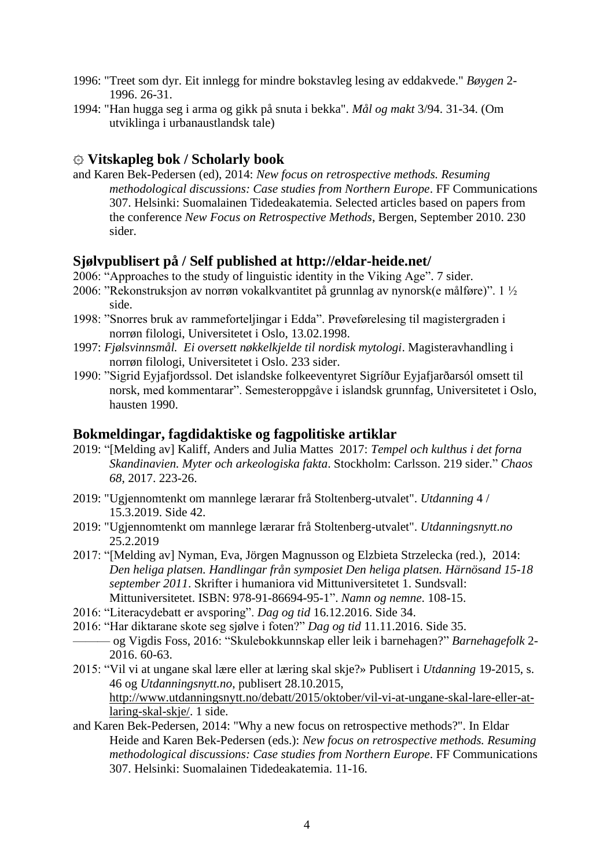- 1996: "Treet som dyr. Eit innlegg for mindre bokstavleg lesing av eddakvede." *Bøygen* 2- 1996. 26-31.
- 1994: "Han hugga seg i arma og gikk på snuta i bekka". *Mål og makt* 3/94. 31-34. (Om utviklinga i urbanaustlandsk tale)

#### **۞ Vitskapleg bok / Scholarly book**

and Karen Bek-Pedersen (ed), 2014: *New focus on retrospective methods. Resuming methodological discussions: Case studies from Northern Europe*. FF Communications 307. Helsinki: Suomalainen Tidedeakatemia. Selected articles based on papers from the conference *New Focus on Retrospective Methods*, Bergen, September 2010. 230 sider.

#### **Sjølvpublisert på / Self published at http://eldar-heide.net/**

- 2006: "Approaches to the study of linguistic identity in the Viking Age". 7 sider.
- 2006: "Rekonstruksjon av norrøn vokalkvantitet på grunnlag av nynorsk(e målføre)". 1 ½ side.
- 1998: "Snorres bruk av rammeforteljingar i Edda". Prøveførelesing til magistergraden i norrøn filologi, Universitetet i Oslo, 13.02.1998.
- 1997: *Fjølsvinnsmål. Ei oversett nøkkelkjelde til nordisk mytologi*. Magisteravhandling i norrøn filologi, Universitetet i Oslo. 233 sider.
- 1990: "Sigrid Eyjafjordssol. Det islandske folkeeventyret Sigríður Eyjafjarðarsól omsett til norsk, med kommentarar". Semesteroppgåve i islandsk grunnfag, Universitetet i Oslo, hausten 1990.

#### **Bokmeldingar, fagdidaktiske og fagpolitiske artiklar**

- 2019: "[Melding av] Kaliff, Anders and Julia Mattes 2017: *Tempel och kulthus i det forna Skandinavien. Myter och arkeologiska fakta*. Stockholm: Carlsson. 219 sider." *Chaos 68*, 2017. 223-26.
- 2019: "Ugjennomtenkt om mannlege lærarar frå Stoltenberg-utvalet". *Utdanning* 4 / 15.3.2019. Side 42.
- 2019: "Ugjennomtenkt om mannlege lærarar frå Stoltenberg-utvalet". *Utdanningsnytt.no* 25.2.2019
- 2017: "[Melding av] Nyman, Eva, Jörgen Magnusson og Elzbieta Strzelecka (red.), 2014: *Den heliga platsen. Handlingar från symposiet Den heliga platsen. Härnösand 15-18 september 2011*. Skrifter i humaniora vid Mittuniversitetet 1. Sundsvall: Mittuniversitetet. ISBN: 978-91-86694-95-1". *Namn og nemne*. 108-15.
- 2016: "Literacydebatt er avsporing". *Dag og tid* 16.12.2016. Side 34.
- 2016: "Har diktarane skote seg sjølve i foten?" *Dag og tid* 11.11.2016. Side 35.
- ——— og Vigdis Foss, 2016: "Skulebokkunnskap eller leik i barnehagen?" *Barnehagefolk* 2- 2016. 60-63.
- 2015: "Vil vi at ungane skal lære eller at læring skal skje?» Publisert i *Utdanning* 19-2015, s. 46 og *Utdanningsnytt.no*, publisert 28.10.2015, [http://www.utdanningsnytt.no/debatt/2015/oktober/vil-vi-at-ungane-skal-lare-eller-at](http://www.utdanningsnytt.no/debatt/2015/oktober/vil-vi-at-ungane-skal-lare-eller-at-laring-skal-skje/)[laring-skal-skje/.](http://www.utdanningsnytt.no/debatt/2015/oktober/vil-vi-at-ungane-skal-lare-eller-at-laring-skal-skje/) 1 side.
- and Karen Bek-Pedersen, 2014: "Why a new focus on retrospective methods?". In Eldar Heide and Karen Bek-Pedersen (eds.): *New focus on retrospective methods. Resuming methodological discussions: Case studies from Northern Europe*. FF Communications 307. Helsinki: Suomalainen Tidedeakatemia. 11-16.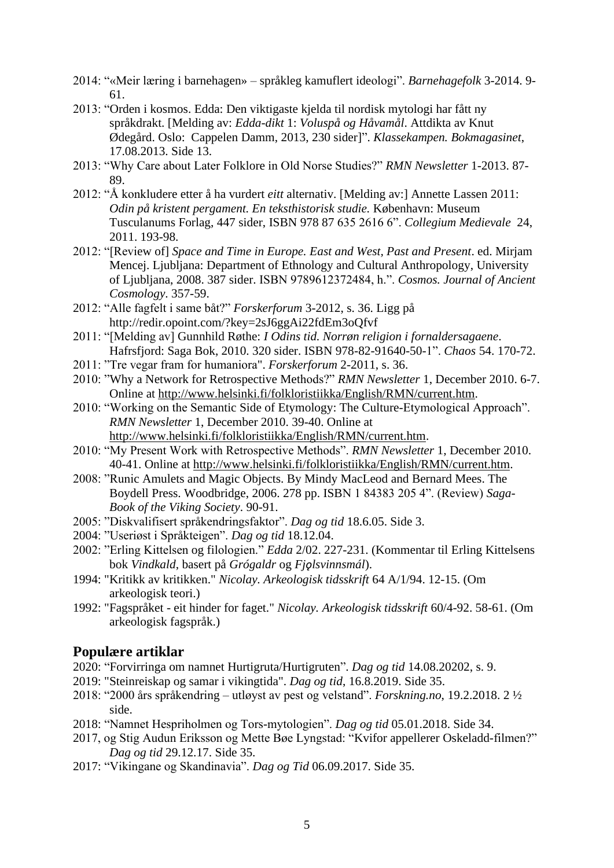- 2014: "«Meir læring i barnehagen» språkleg kamuflert ideologi". *Barnehagefolk* 3-2014. 9- 61.
- 2013: "Orden i kosmos. Edda: Den viktigaste kjelda til nordisk mytologi har fått ny språkdrakt. [Melding av: *Edda-dikt* 1: *Voluspå og Håvamål*. Attdikta av Knut Ødegård. Oslo: Cappelen Damm, 2013, 230 sider]". *Klassekampen. Bokmagasinet*, 17.08.2013. Side 13.
- 2013: "Why Care about Later Folklore in Old Norse Studies?" *RMN Newsletter* 1-2013. 87- 89.
- 2012: "Å konkludere etter å ha vurdert *eitt* alternativ. [Melding av:] Annette Lassen 2011: *Odin på kristent pergament. En teksthistorisk studie.* København: Museum Tusculanums Forlag, 447 sider, ISBN 978 87 635 2616 6". *Collegium Medievale* 24, 2011. 193-98.
- 2012: "[Review of] *Space and Time in Europe. East and West, Past and Present*. ed. Mirjam Mencej. Ljubljana: Department of Ethnology and Cultural Anthropology, University of Ljubljana, 2008. 387 sider. ISBN 9789612372484, h.". *Cosmos. Journal of Ancient Cosmology*. 357-59.
- 2012: "Alle fagfelt i same båt?" *Forskerforum* 3-2012, s. 36. Ligg på http://redir.opoint.com/?key=2sJ6ggAi22fdEm3oQfvf
- 2011: "[Melding av] Gunnhild Røthe: *I Odins tid. Norrøn religion i fornaldersagaene*. Hafrsfjord: Saga Bok, 2010. 320 sider. ISBN 978-82-91640-50-1". *Chaos* 54. 170-72.
- 2011: "Tre vegar fram for humaniora". *Forskerforum* 2-2011, s. 36.
- 2010: "Why a Network for Retrospective Methods?" *RMN Newsletter* 1, December 2010. 6-7. Online at [http://www.helsinki.fi/folkloristiikka/English/RMN/current.htm.](http://www.helsinki.fi/folkloristiikka/English/RMN/current.htm)
- 2010: "Working on the Semantic Side of Etymology: The Culture-Etymological Approach". *RMN Newsletter* 1, December 2010. 39-40. Online at [http://www.helsinki.fi/folkloristiikka/English/RMN/current.htm.](http://www.helsinki.fi/folkloristiikka/English/RMN/current.htm)
- 2010: "My Present Work with Retrospective Methods". *RMN Newsletter* 1, December 2010. 40-41. Online at [http://www.helsinki.fi/folkloristiikka/English/RMN/current.htm.](http://www.helsinki.fi/folkloristiikka/English/RMN/current.htm)
- 2008: "Runic Amulets and Magic Objects. By Mindy MacLeod and Bernard Mees. The Boydell Press. Woodbridge, 2006. 278 pp. ISBN 1 84383 205 4". (Review) *Saga-Book of the Viking Society*. 90-91.
- 2005: "Diskvalifisert språkendringsfaktor". *Dag og tid* 18.6.05. Side 3.
- 2004: "Useriøst i Språkteigen". *Dag og tid* 18.12.04.
- 2002: "Erling Kittelsen og filologien." *Edda* 2/02. 227-231. (Kommentar til Erling Kittelsens bok *Vindkald*, basert på *Grógaldr* og *Fjǫlsvinnsmál*).
- 1994: "Kritikk av kritikken." *Nicolay. Arkeologisk tidsskrift* 64 A/1/94. 12-15. (Om arkeologisk teori.)
- 1992: "Fagspråket eit hinder for faget." *Nicolay. Arkeologisk tidsskrift* 60/4-92. 58-61. (Om arkeologisk fagspråk.)

#### **Populære artiklar**

- 2020: "Forvirringa om namnet Hurtigruta/Hurtigruten". *Dag og tid* 14.08.20202, s. 9.
- 2019: "Steinreiskap og samar i vikingtida". *Dag og tid*, 16.8.2019. Side 35.
- 2018: "2000 års språkendring utløyst av pest og velstand". *Forskning.no*, 19.2.2018. 2 ½ side.
- 2018: "Namnet Hespriholmen og Tors-mytologien". *Dag og tid* 05.01.2018. Side 34.
- 2017, og Stig Audun Eriksson og Mette Bøe Lyngstad: "Kvifor appellerer Oskeladd-filmen?" *Dag og tid* 29.12.17. Side 35.
- 2017: "Vikingane og Skandinavia". *Dag og Tid* 06.09.2017. Side 35.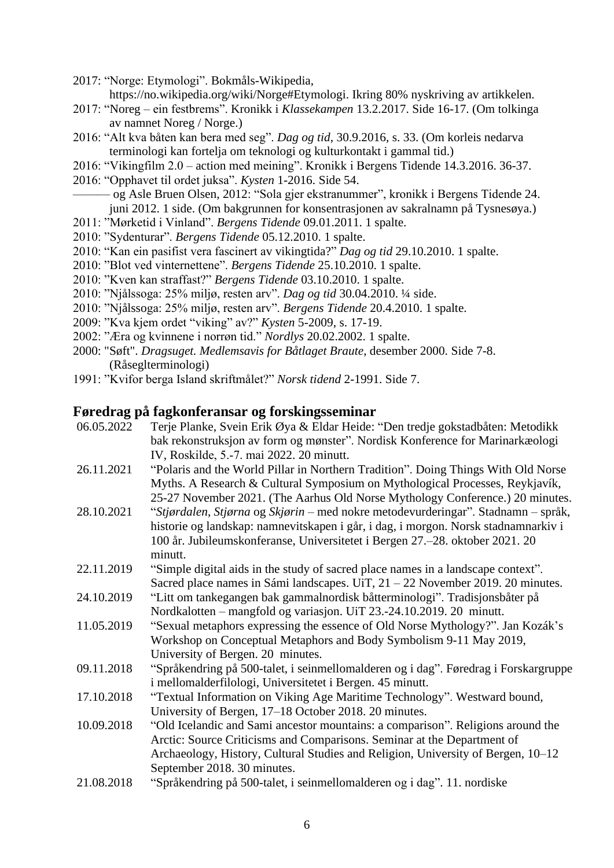2017: "Norge: Etymologi". Bokmåls-Wikipedia,

https://no.wikipedia.org/wiki/Norge#Etymologi. Ikring 80% nyskriving av artikkelen.

- 2017: "Noreg ein festbrems". Kronikk i *Klassekampen* 13.2.2017. Side 16-17. (Om tolkinga av namnet Noreg / Norge.)
- 2016: "Alt kva båten kan bera med seg". *Dag og tid*, 30.9.2016, s. 33. (Om korleis nedarva terminologi kan fortelja om teknologi og kulturkontakt i gammal tid.)
- 2016: "Vikingfilm 2.0 action med meining". Kronikk i Bergens Tidende 14.3.2016. 36-37.
- 2016: "Opphavet til ordet juksa". *Kysten* 1-2016. Side 54.
	- ——— og Asle Bruen Olsen, 2012: "Sola gjer ekstranummer", kronikk i Bergens Tidende 24. juni 2012. 1 side. (Om bakgrunnen for konsentrasjonen av sakralnamn på Tysnesøya.)
- 2011: "Mørketid i Vinland". *Bergens Tidende* 09.01.2011. 1 spalte.
- 2010: "Sydenturar". *Bergens Tidende* 05.12.2010. 1 spalte.
- 2010: "Kan ein pasifist vera fascinert av vikingtida?" *Dag og tid* 29.10.2010. 1 spalte.
- 2010: "Blot ved vinternettene". *Bergens Tidende* 25.10.2010. 1 spalte.
- 2010: "Kven kan straffast?" *Bergens Tidende* 03.10.2010. 1 spalte.
- 2010: "Njålssoga: 25% miljø, resten arv". *Dag og tid* 30.04.2010. ¼ side.
- 2010: "Njålssoga: 25% miljø, resten arv". *Bergens Tidende* 20.4.2010. 1 spalte.
- 2009: "Kva kjem ordet "viking" av?" *Kysten* 5-2009, s. 17-19.
- 2002: "Æra og kvinnene i norrøn tid." *Nordlys* 20.02.2002. 1 spalte.
- 2000: "Søft". *Dragsuget. Medlemsavis for Båtlaget Braute*, desember 2000. Side 7-8. (Råseglterminologi)
- 1991: "Kvifor berga Island skriftmålet?" *Norsk tidend* 2-1991. Side 7.

#### **Føredrag på fagkonferansar og forskingsseminar**

| 06.05.2022 | Terje Planke, Svein Erik Øya & Eldar Heide: "Den tredje gokstadbåten: Metodikk      |
|------------|-------------------------------------------------------------------------------------|
|            | bak rekonstruksjon av form og mønster". Nordisk Konference for Marinarkæologi       |
|            | IV, Roskilde, 5.-7. mai 2022. 20 minutt.                                            |
| 26.11.2021 | "Polaris and the World Pillar in Northern Tradition". Doing Things With Old Norse   |
|            | Myths. A Research & Cultural Symposium on Mythological Processes, Reykjavík,        |
|            | 25-27 November 2021. (The Aarhus Old Norse Mythology Conference.) 20 minutes.       |
| 28.10.2021 | "Stjørdalen, Stjørna og Skjørin – med nokre metodevurderingar". Stadnamn – språk,   |
|            | historie og landskap: namnevitskapen i går, i dag, i morgon. Norsk stadnamnarkiv i  |
|            | 100 år. Jubileumskonferanse, Universitetet i Bergen 27.–28. oktober 2021. 20        |
|            | minutt.                                                                             |
| 22.11.2019 | "Simple digital aids in the study of sacred place names in a landscape context".    |
|            | Sacred place names in Sámi landscapes. UiT, 21 – 22 November 2019. 20 minutes.      |
| 24.10.2019 | "Litt om tankegangen bak gammalnordisk båtterminologi". Tradisjonsbåter på          |
|            | Nordkalotten - mangfold og variasjon. UiT 23.-24.10.2019. 20 minutt.                |
| 11.05.2019 | "Sexual metaphors expressing the essence of Old Norse Mythology?". Jan Kozák's      |
|            | Workshop on Conceptual Metaphors and Body Symbolism 9-11 May 2019,                  |
|            | University of Bergen. 20 minutes.                                                   |
| 09.11.2018 | "Språkendring på 500-talet, i seinmellomalderen og i dag". Føredrag i Forskargruppe |
|            | i mellomalderfilologi, Universitetet i Bergen. 45 minutt.                           |
| 17.10.2018 | "Textual Information on Viking Age Maritime Technology". Westward bound,            |
|            | University of Bergen, 17–18 October 2018. 20 minutes.                               |
| 10.09.2018 | "Old Icelandic and Sami ancestor mountains: a comparison". Religions around the     |
|            | Arctic: Source Criticisms and Comparisons. Seminar at the Department of             |
|            | Archaeology, History, Cultural Studies and Religion, University of Bergen, 10–12    |
|            | September 2018. 30 minutes.                                                         |
| 21.08.2018 | "Språkendring på 500-talet, i seinmellomalderen og i dag". 11. nordiske             |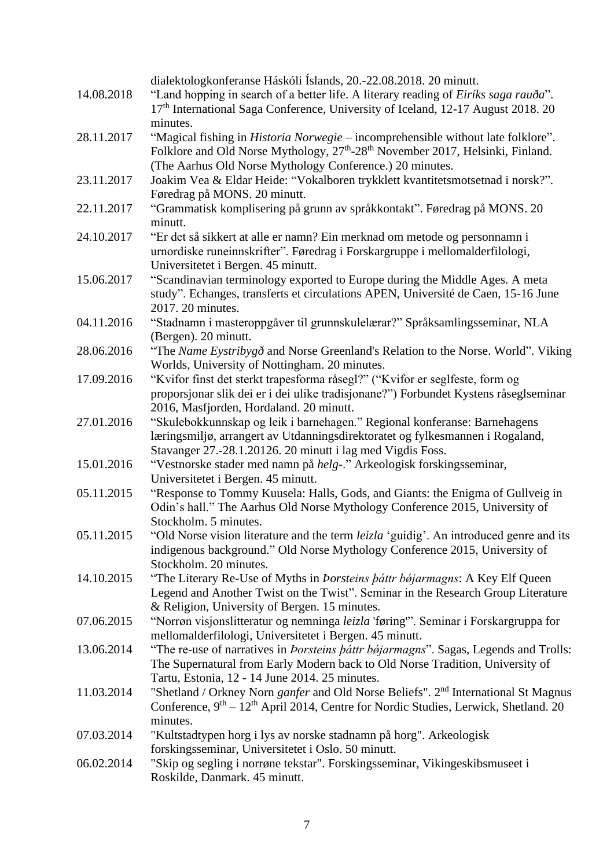|            | dialektologkonferanse Háskóli Íslands, 20.-22.08.2018. 20 minutt.                                      |
|------------|--------------------------------------------------------------------------------------------------------|
| 14.08.2018 | "Land hopping in search of a better life. A literary reading of <i>Eiríks saga rauða</i> ".            |
|            | 17 <sup>th</sup> International Saga Conference, University of Iceland, 12-17 August 2018. 20           |
|            | minutes.                                                                                               |
| 28.11.2017 | "Magical fishing in <i>Historia Norwegie</i> - incomprehensible without late folklore".                |
|            | Folklore and Old Norse Mythology, 27 <sup>th</sup> -28 <sup>th</sup> November 2017, Helsinki, Finland. |
|            | (The Aarhus Old Norse Mythology Conference.) 20 minutes.                                               |
| 23.11.2017 | Joakim Vea & Eldar Heide: "Vokalboren trykklett kvantitetsmotsetnad i norsk?".                         |
|            | Føredrag på MONS. 20 minutt.                                                                           |
| 22.11.2017 | "Grammatisk komplisering på grunn av språkkontakt". Føredrag på MONS. 20                               |
|            | minutt.                                                                                                |
| 24.10.2017 |                                                                                                        |
|            | "Er det så sikkert at alle er namn? Ein merknad om metode og personnamn i                              |
|            | urnordiske runeinnskrifter". Føredrag i Forskargruppe i mellomalderfilologi,                           |
|            | Universitetet i Bergen. 45 minutt.                                                                     |
| 15.06.2017 | "Scandinavian terminology exported to Europe during the Middle Ages. A meta                            |
|            | study". Echanges, transferts et circulations APEN, Université de Caen, 15-16 June                      |
|            | 2017. 20 minutes.                                                                                      |
| 04.11.2016 | "Stadnamn i masteroppgåver til grunnskulelærar?" Språksamlingsseminar, NLA                             |
|            | (Bergen). 20 minutt.                                                                                   |
| 28.06.2016 | "The Name Eystribygð and Norse Greenland's Relation to the Norse. World". Viking                       |
|            | Worlds, University of Nottingham. 20 minutes.                                                          |
| 17.09.2016 | "Kvifor finst det sterkt trapesforma råsegl?" ("Kvifor er seglfeste, form og                           |
|            | proporsjonar slik dei er i dei ulike tradisjonane?") Forbundet Kystens råseglseminar                   |
|            | 2016, Masfjorden, Hordaland. 20 minutt.                                                                |
| 27.01.2016 | "Skulebokkunnskap og leik i barnehagen." Regional konferanse: Barnehagens                              |
|            | læringsmiljø, arrangert av Utdanningsdirektoratet og fylkesmannen i Rogaland,                          |
|            | Stavanger 27.-28.1.20126. 20 minutt i lag med Vigdis Foss.                                             |
| 15.01.2016 | "Vestnorske stader med namn på helg-." Arkeologisk forskingsseminar,                                   |
|            | Universitetet i Bergen. 45 minutt.                                                                     |
| 05.11.2015 | "Response to Tommy Kuusela: Halls, Gods, and Giants: the Enigma of Gullveig in                         |
|            | Odin's hall." The Aarhus Old Norse Mythology Conference 2015, University of                            |
|            | Stockholm. 5 minutes.                                                                                  |
| 05.11.2015 | "Old Norse vision literature and the term leizla 'guidig'. An introduced genre and its                 |
|            | indigenous background." Old Norse Mythology Conference 2015, University of                             |
|            | Stockholm. 20 minutes.                                                                                 |
| 14.10.2015 | "The Literary Re-Use of Myths in <i>Porsteins pattr bøjarmagns</i> : A Key Elf Queen                   |
|            | Legend and Another Twist on the Twist". Seminar in the Research Group Literature                       |
|            | & Religion, University of Bergen. 15 minutes.                                                          |
| 07.06.2015 | "Norrøn visjonslitteratur og nemninga leizla 'føring'". Seminar i Forskargruppa for                    |
|            | mellomalderfilologi, Universitetet i Bergen. 45 minutt.                                                |
| 13.06.2014 | "The re-use of narratives in <i>Porsteins pattr bojarmagns</i> ". Sagas, Legends and Trolls:           |
|            | The Supernatural from Early Modern back to Old Norse Tradition, University of                          |
|            | Tartu, Estonia, 12 - 14 June 2014. 25 minutes.                                                         |
| 11.03.2014 |                                                                                                        |
|            | "Shetland / Orkney Norn <i>ganfer</i> and Old Norse Beliefs". 2 <sup>nd</sup> International St Magnus  |
|            | Conference, $9th - 12th$ April 2014, Centre for Nordic Studies, Lerwick, Shetland. 20                  |
|            | minutes.                                                                                               |
| 07.03.2014 | "Kultstadtypen horg i lys av norske stadnamn på horg". Arkeologisk                                     |
|            | forskingsseminar, Universitetet i Oslo. 50 minutt.                                                     |
| 06.02.2014 | "Skip og segling i norrøne tekstar". Forskingsseminar, Vikingeskibsmuseet i                            |
|            | Roskilde, Danmark. 45 minutt.                                                                          |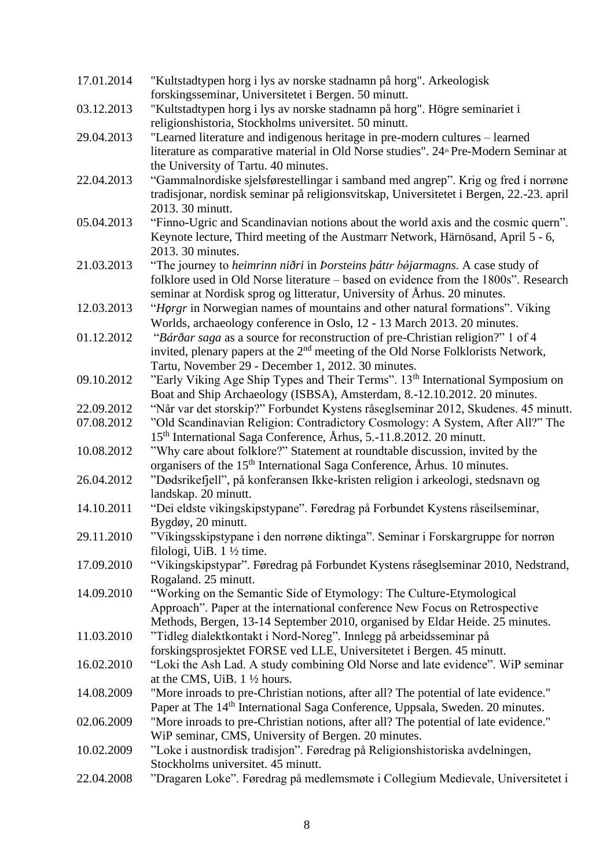| 17.01.2014 | "Kultstadtypen horg i lys av norske stadnamn på horg". Arkeologisk                               |
|------------|--------------------------------------------------------------------------------------------------|
|            | forskingsseminar, Universitetet i Bergen. 50 minutt.                                             |
| 03.12.2013 | "Kultstadtypen horg i lys av norske stadnamn på horg". Högre seminariet i                        |
|            | religionshistoria, Stockholms universitet. 50 minutt.                                            |
| 29.04.2013 | "Learned literature and indigenous heritage in pre-modern cultures – learned                     |
|            | literature as comparative material in Old Norse studies". 24 <sup>th</sup> Pre-Modern Seminar at |
|            | the University of Tartu. 40 minutes.                                                             |
| 22.04.2013 | "Gammalnordiske sjelsførestellingar i samband med angrep". Krig og fred i norrøne                |
|            | tradisjonar, nordisk seminar på religionsvitskap, Universitetet i Bergen, 22.-23. april          |
|            | 2013. 30 minutt.                                                                                 |
| 05.04.2013 | "Finno-Ugric and Scandinavian notions about the world axis and the cosmic quern".                |
|            | Keynote lecture, Third meeting of the Austmarr Network, Härnösand, April 5 - 6,                  |
|            | 2013. 30 minutes.                                                                                |
| 21.03.2013 | "The journey to heimrinn niðri in Þorsteins þáttr bójarmagns. A case study of                    |
|            | folklore used in Old Norse literature – based on evidence from the 1800s". Research              |
|            | seminar at Nordisk sprog og litteratur, University of Århus. 20 minutes.                         |
| 12.03.2013 | "Horgr in Norwegian names of mountains and other natural formations". Viking                     |
|            | Worlds, archaeology conference in Oslo, 12 - 13 March 2013. 20 minutes.                          |
| 01.12.2012 | "Bárðar saga as a source for reconstruction of pre-Christian religion?" 1 of 4                   |
|            | invited, plenary papers at the 2 <sup>nd</sup> meeting of the Old Norse Folklorists Network,     |
|            | Tartu, November 29 - December 1, 2012. 30 minutes.                                               |
| 09.10.2012 | "Early Viking Age Ship Types and Their Terms". 13 <sup>th</sup> International Symposium on       |
|            | Boat and Ship Archaeology (ISBSA), Amsterdam, 8.-12.10.2012. 20 minutes.                         |
| 22.09.2012 | "Når var det storskip?" Forbundet Kystens råseglseminar 2012, Skudenes. 45 minutt.               |
| 07.08.2012 | "Old Scandinavian Religion: Contradictory Cosmology: A System, After All?" The                   |
|            | 15 <sup>th</sup> International Saga Conference, Arhus, 5.-11.8.2012. 20 minutt.                  |
| 10.08.2012 | "Why care about folklore?" Statement at roundtable discussion, invited by the                    |
|            | organisers of the 15 <sup>th</sup> International Saga Conference, Århus. 10 minutes.             |
| 26.04.2012 | "Dødsrikefjell", på konferansen Ikke-kristen religion i arkeologi, stedsnavn og                  |
|            | landskap. 20 minutt.                                                                             |
| 14.10.2011 | "Dei eldste vikingskipstypane". Føredrag på Forbundet Kystens råseilseminar,                     |
|            | Bygdøy, 20 minutt.                                                                               |
| 29.11.2010 | "Vikingsskipstypane i den norrøne diktinga". Seminar i Forskargruppe for norrøn                  |
|            | filologi, UiB. $1\frac{1}{2}$ time.                                                              |
| 17.09.2010 | "Vikingskipstypar". Føredrag på Forbundet Kystens råseglseminar 2010, Nedstrand,                 |
|            | Rogaland. 25 minutt.                                                                             |
| 14.09.2010 | "Working on the Semantic Side of Etymology: The Culture-Etymological                             |
|            | Approach". Paper at the international conference New Focus on Retrospective                      |
|            | Methods, Bergen, 13-14 September 2010, organised by Eldar Heide. 25 minutes.                     |
| 11.03.2010 | "Tidleg dialektkontakt i Nord-Noreg". Innlegg på arbeidsseminar på                               |
|            | forskingsprosjektet FORSE ved LLE, Universitetet i Bergen. 45 minutt.                            |
| 16.02.2010 | "Loki the Ash Lad. A study combining Old Norse and late evidence". WiP seminar                   |
|            | at the CMS, UiB. $1\frac{1}{2}$ hours.                                                           |
| 14.08.2009 | "More inroads to pre-Christian notions, after all? The potential of late evidence."              |
|            | Paper at The 14 <sup>th</sup> International Saga Conference, Uppsala, Sweden. 20 minutes.        |
| 02.06.2009 | "More inroads to pre-Christian notions, after all? The potential of late evidence."              |
|            | WiP seminar, CMS, University of Bergen. 20 minutes.                                              |
| 10.02.2009 | "Loke i austnordisk tradisjon". Føredrag på Religionshistoriska avdelningen,                     |
|            | Stockholms universitet. 45 minutt.                                                               |
| 22.04.2008 | "Dragaren Loke". Føredrag på medlemsmøte i Collegium Medievale, Universitetet i                  |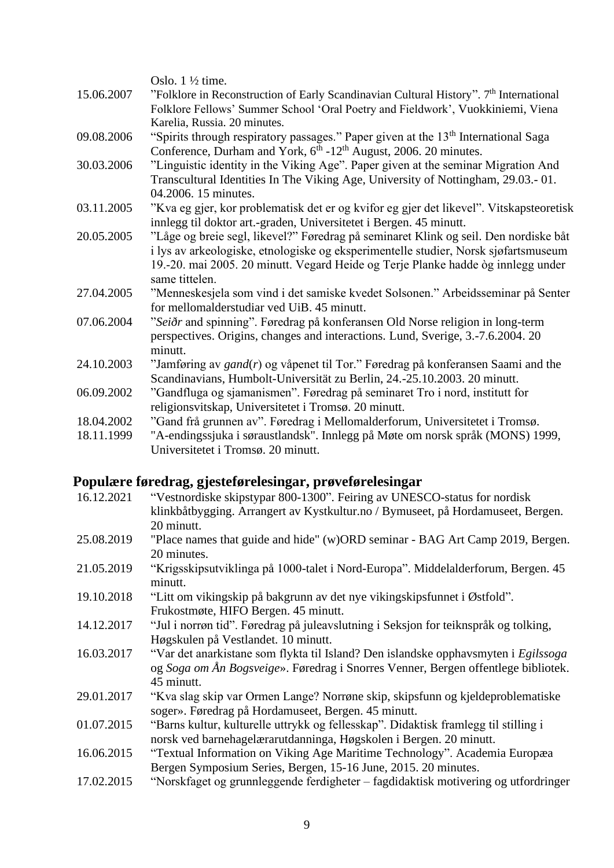|            | Oslo. $1\frac{1}{2}$ time.                                                                     |
|------------|------------------------------------------------------------------------------------------------|
| 15.06.2007 | "Folklore in Reconstruction of Early Scandinavian Cultural History". $7th$ International       |
|            | Folklore Fellows' Summer School 'Oral Poetry and Fieldwork', Vuokkiniemi, Viena                |
|            | Karelia, Russia. 20 minutes.                                                                   |
| 09.08.2006 | "Spirits through respiratory passages." Paper given at the 13 <sup>th</sup> International Saga |
|            | Conference, Durham and York, 6 <sup>th</sup> -12 <sup>th</sup> August, 2006. 20 minutes.       |
| 30.03.2006 | "Linguistic identity in the Viking Age". Paper given at the seminar Migration And              |
|            | Transcultural Identities In The Viking Age, University of Nottingham, 29.03.-01.               |
|            | 04.2006. 15 minutes.                                                                           |
| 03.11.2005 | "Kva eg gjer, kor problematisk det er og kvifor eg gjer det likevel". Vitskapsteoretisk        |
|            | innlegg til doktor art.-graden, Universitetet i Bergen. 45 minutt.                             |
| 20.05.2005 | "Låge og breie segl, likevel?" Føredrag på seminaret Klink og seil. Den nordiske båt           |
|            | i lys av arkeologiske, etnologiske og eksperimentelle studier, Norsk sjøfartsmuseum            |
|            | 19.-20. mai 2005. 20 minutt. Vegard Heide og Terje Planke hadde òg innlegg under               |
|            | same tittelen.                                                                                 |
| 27.04.2005 | "Menneskesjela som vind i det samiske kvedet Solsonen." Arbeidsseminar på Senter               |
|            | for mellomalderstudiar ved UiB. 45 minutt.                                                     |
| 07.06.2004 | "Seiðr and spinning". Føredrag på konferansen Old Norse religion in long-term                  |
|            | perspectives. Origins, changes and interactions. Lund, Sverige, 3.-7.6.2004. 20                |
|            | minutt.                                                                                        |
| 24.10.2003 | "Jamføring av $\mathit{gand}(r)$ og våpenet til Tor." Føredrag på konferansen Saami and the    |
|            | Scandinavians, Humbolt-Universität zu Berlin, 24.-25.10.2003. 20 minutt.                       |
| 06.09.2002 | "Gandfluga og sjamanismen". Føredrag på seminaret Tro i nord, institutt for                    |
|            | religionsvitskap, Universitetet i Tromsø. 20 minutt.                                           |
| 18.04.2002 | "Gand frå grunnen av". Føredrag i Mellomalderforum, Universitetet i Tromsø.                    |
| 18.11.1999 | "A-endingssjuka i søraustlandsk". Innlegg på Møte om norsk språk (MONS) 1999,                  |
|            | Universitetet i Tromsø. 20 minutt.                                                             |

# **Populære føredrag, gjesteførelesingar, prøveførelesingar**

| 16.12.2021 | "Vestnordiske skipstypar 800-1300". Feiring av UNESCO-status for nordisk            |
|------------|-------------------------------------------------------------------------------------|
|            | klinkbåtbygging. Arrangert av Kystkultur.no / Bymuseet, på Hordamuseet, Bergen.     |
|            | 20 minutt.                                                                          |
| 25.08.2019 | "Place names that guide and hide" (w)ORD seminar - BAG Art Camp 2019, Bergen.       |
|            | 20 minutes.                                                                         |
| 21.05.2019 | "Krigsskipsutviklinga på 1000-talet i Nord-Europa". Middelalderforum, Bergen. 45    |
|            | minutt.                                                                             |
| 19.10.2018 | "Litt om vikingskip på bakgrunn av det nye vikingskipsfunnet i Østfold".            |
|            | Frukostmøte, HIFO Bergen. 45 minutt.                                                |
| 14.12.2017 | "Jul i norrøn tid". Føredrag på juleavslutning i Seksjon for teiknspråk og tolking, |
|            | Høgskulen på Vestlandet. 10 minutt.                                                 |
| 16.03.2017 | "Var det anarkistane som flykta til Island? Den islandske opphavsmyten i Egilssoga  |
|            | og Soga om Ån Bogsveige». Føredrag i Snorres Venner, Bergen offentlege bibliotek.   |
|            | 45 minutt.                                                                          |
| 29.01.2017 | "Kva slag skip var Ormen Lange? Norrøne skip, skipsfunn og kjeldeproblematiske      |
|            | soger». Føredrag på Hordamuseet, Bergen. 45 minutt.                                 |
| 01.07.2015 | "Barns kultur, kulturelle uttrykk og fellesskap". Didaktisk framlegg til stilling i |
|            | norsk ved barnehagelærarutdanninga, Høgskolen i Bergen. 20 minutt.                  |
| 16.06.2015 | "Textual Information on Viking Age Maritime Technology". Academia Europæa           |
|            | Bergen Symposium Series, Bergen, 15-16 June, 2015. 20 minutes.                      |
| 17.02.2015 | "Norskfaget og grunnleggende ferdigheter – fagdidaktisk motivering og utfordringer  |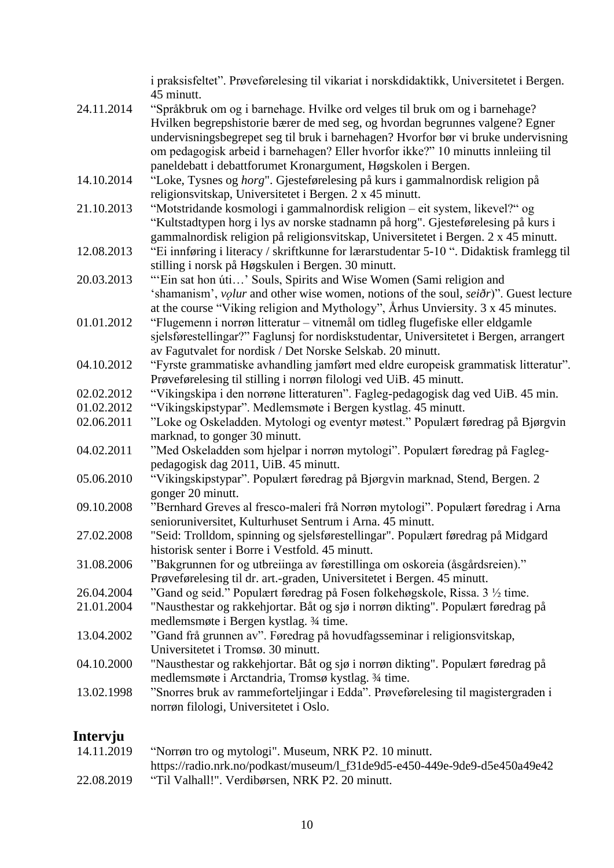i praksisfeltet". Prøveførelesing til vikariat i norskdidaktikk, Universitetet i Bergen. 45 minutt.

- 24.11.2014 "Språkbruk om og i barnehage. Hvilke ord velges til bruk om og i barnehage? Hvilken begrepshistorie bærer de med seg, og hvordan begrunnes valgene? Egner undervisningsbegrepet seg til bruk i barnehagen? Hvorfor bør vi bruke undervisning om pedagogisk arbeid i barnehagen? Eller hvorfor ikke?" 10 minutts innleiing til paneldebatt i debattforumet Kronargument, Høgskolen i Bergen.
- 14.10.2014 "Loke, Tysnes og *horg*". Gjesteførelesing på kurs i gammalnordisk religion på religionsvitskap, Universitetet i Bergen. 2 x 45 minutt.
- 21.10.2013 "Motstridande kosmologi i gammalnordisk religion eit system, likevel?" og "Kultstadtypen horg i lys av norske stadnamn på horg". Gjesteførelesing på kurs i gammalnordisk religion på religionsvitskap, Universitetet i Bergen. 2 x 45 minutt.
- 12.08.2013 "Ei innføring i literacy / skriftkunne for lærarstudentar 5-10 ". Didaktisk framlegg til stilling i norsk på Høgskulen i Bergen. 30 minutt.
- 20.03.2013 "'Ein sat hon úti…' Souls, Spirits and Wise Women (Sami religion and 'shamanism', *vǫlur* and other wise women, notions of the soul, *seiðr*)". Guest lecture at the course "Viking religion and Mythology", Århus Unviersity. 3 x 45 minutes.
- 01.01.2012 "Flugemenn i norrøn litteratur vitnemål om tidleg flugefiske eller eldgamle sjelsførestellingar?" Faglunsj for nordiskstudentar, Universitetet i Bergen, arrangert av Fagutvalet for nordisk / Det Norske Selskab. 20 minutt.
- 04.10.2012 "Fyrste grammatiske avhandling jamført med eldre europeisk grammatisk litteratur". Prøveførelesing til stilling i norrøn filologi ved UiB. 45 minutt.
- 02.02.2012 "Vikingskipa i den norrøne litteraturen". Fagleg-pedagogisk dag ved UiB. 45 min.
- 01.02.2012 "Vikingskipstypar". Medlemsmøte i Bergen kystlag. 45 minutt.
- 02.06.2011 "Loke og Oskeladden. Mytologi og eventyr møtest." Populært føredrag på Bjørgvin marknad, to gonger 30 minutt.
- 04.02.2011 "Med Oskeladden som hjelpar i norrøn mytologi". Populært føredrag på Faglegpedagogisk dag 2011, UiB. 45 minutt.
- 05.06.2010 "Vikingskipstypar". Populært føredrag på Bjørgvin marknad, Stend, Bergen. 2 gonger 20 minutt.
- 09.10.2008 "Bernhard Greves al fresco-maleri frå Norrøn mytologi". Populært føredrag i Arna senioruniversitet, Kulturhuset Sentrum i Arna. 45 minutt.
- 27.02.2008 "Seid: Trolldom, spinning og sjelsførestellingar". Populært føredrag på Midgard historisk senter i Borre i Vestfold. 45 minutt.
- 31.08.2006 "Bakgrunnen for og utbreiinga av førestillinga om oskoreia (åsgårdsreien)." Prøveførelesing til dr. art.-graden, Universitetet i Bergen. 45 minutt.
- 26.04.2004 "Gand og seid." Populært føredrag på Fosen folkehøgskole, Rissa. 3 ½ time.
- 21.01.2004 "Nausthestar og rakkehjortar. Båt og sjø i norrøn dikting". Populært føredrag på medlemsmøte i Bergen kystlag. ¾ time.
- 13.04.2002 "Gand frå grunnen av". Føredrag på hovudfagsseminar i religionsvitskap, Universitetet i Tromsø. 30 minutt.
- 04.10.2000 "Nausthestar og rakkehjortar. Båt og sjø i norrøn dikting". Populært føredrag på medlemsmøte i Arctandria, Tromsø kystlag. ¾ time.
- 13.02.1998 "Snorres bruk av rammeforteljingar i Edda". Prøveførelesing til magistergraden i norrøn filologi, Universitetet i Oslo.

## **Intervju**

14.11.2019 "Norrøn tro og mytologi". Museum, NRK P2. 10 minutt. https://radio.nrk.no/podkast/museum/l\_f31de9d5-e450-449e-9de9-d5e450a49e42 22.08.2019 "Til Valhall!". Verdibørsen, NRK P2. 20 minutt.